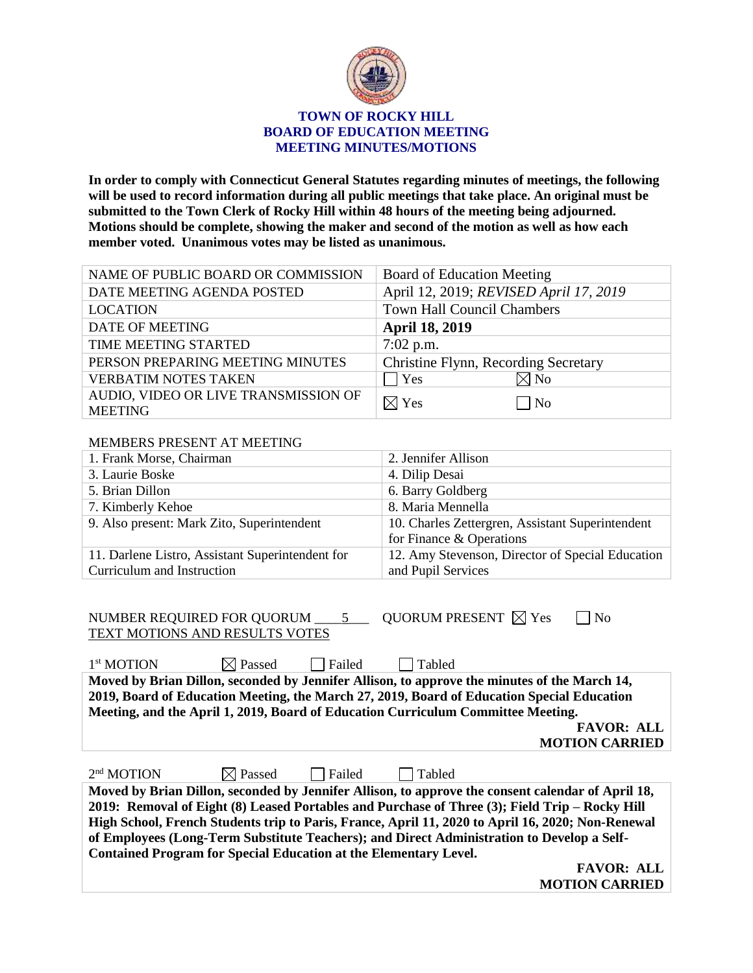

## **TOWN OF ROCKY HILL BOARD OF EDUCATION MEETING MEETING MINUTES/MOTIONS**

**In order to comply with Connecticut General Statutes regarding minutes of meetings, the following will be used to record information during all public meetings that take place. An original must be submitted to the Town Clerk of Rocky Hill within 48 hours of the meeting being adjourned. Motions should be complete, showing the maker and second of the motion as well as how each member voted. Unanimous votes may be listed as unanimous.**

| NAME OF PUBLIC BOARD OR COMMISSION   | <b>Board of Education Meeting</b>      |
|--------------------------------------|----------------------------------------|
| DATE MEETING AGENDA POSTED           | April 12, 2019; REVISED April 17, 2019 |
| <b>LOCATION</b>                      | <b>Town Hall Council Chambers</b>      |
| <b>DATE OF MEETING</b>               | <b>April 18, 2019</b>                  |
| TIME MEETING STARTED                 | $7:02$ p.m.                            |
| PERSON PREPARING MEETING MINUTES     | Christine Flynn, Recording Secretary   |
| <b>VERBATIM NOTES TAKEN</b>          | $\boxtimes$ No<br>Yes                  |
| AUDIO, VIDEO OR LIVE TRANSMISSION OF | N <sub>0</sub><br>$\boxtimes$ Yes      |
| <b>MEETING</b>                       |                                        |

## MEMBERS PRESENT AT MEETING

| 1. Frank Morse, Chairman                         | 2. Jennifer Allison                              |  |
|--------------------------------------------------|--------------------------------------------------|--|
| 3. Laurie Boske                                  | 4. Dilip Desai                                   |  |
| 5. Brian Dillon                                  | 6. Barry Goldberg                                |  |
| 7. Kimberly Kehoe                                | 8. Maria Mennella                                |  |
| 9. Also present: Mark Zito, Superintendent       | 10. Charles Zettergren, Assistant Superintendent |  |
|                                                  | for Finance $&$ Operations                       |  |
| 11. Darlene Listro, Assistant Superintendent for | 12. Amy Stevenson, Director of Special Education |  |
| Curriculum and Instruction                       | and Pupil Services                               |  |

| NUMBER REQUIRED FOR QUORUM 5                                                                      |                    |               | OUORUM PRESENT $\boxtimes$ Yes                                                               | N <sub>o</sub>        |  |
|---------------------------------------------------------------------------------------------------|--------------------|---------------|----------------------------------------------------------------------------------------------|-----------------------|--|
| TEXT MOTIONS AND RESULTS VOTES                                                                    |                    |               |                                                                                              |                       |  |
| 1 <sup>st</sup> MOTION                                                                            | $\boxtimes$ Passed | Failed        | Tabled                                                                                       |                       |  |
|                                                                                                   |                    |               | Moved by Brian Dillon, seconded by Jennifer Allison, to approve the minutes of the March 14, |                       |  |
|                                                                                                   |                    |               | 2019, Board of Education Meeting, the March 27, 2019, Board of Education Special Education   |                       |  |
|                                                                                                   |                    |               | Meeting, and the April 1, 2019, Board of Education Curriculum Committee Meeting.             |                       |  |
|                                                                                                   |                    |               |                                                                                              | <b>FAVOR: ALL</b>     |  |
|                                                                                                   |                    |               |                                                                                              | <b>MOTION CARRIED</b> |  |
|                                                                                                   |                    |               |                                                                                              |                       |  |
| $2nd$ MOTION                                                                                      | $\boxtimes$ Passed | $\Box$ Failed | Tabled                                                                                       |                       |  |
| Moved by Brian Dillon, seconded by Jennifer Allison, to approve the consent calendar of April 18, |                    |               |                                                                                              |                       |  |
| 2019: Removal of Eight (8) Leased Portables and Purchase of Three (3); Field Trip – Rocky Hill    |                    |               |                                                                                              |                       |  |
| High School, French Students trip to Paris, France, April 11, 2020 to April 16, 2020; Non-Renewal |                    |               |                                                                                              |                       |  |
| of Employees (Long-Term Substitute Teachers); and Direct Administration to Develop a Self-        |                    |               |                                                                                              |                       |  |
| <b>Contained Program for Special Education at the Elementary Level.</b>                           |                    |               |                                                                                              |                       |  |
|                                                                                                   |                    |               |                                                                                              | <b>FAVOR: ALL</b>     |  |

**MOTION CARRIED**